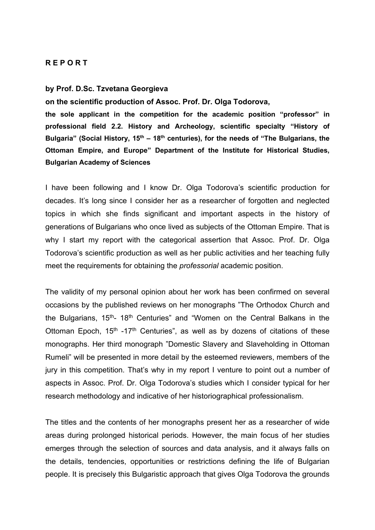## **R E P O R T**

## **by Prof. D.Sc. Tzvetana Georgieva**

**on the scientific production of Assoc. Prof. Dr. Olga Todorova,** 

**the sole applicant in the competition for the academic position "professor" in professional field 2.2. History and Archeology, scientific specialty "History of Bulgaria" (Social History, 15th – 18th centuries), for the needs of "The Bulgarians, the Ottoman Empire, and Europe" Department of the Institute for Historical Studies, Bulgarian Academy of Sciences** 

I have been following and I know Dr. Olga Todorova's scientific production for decades. It's long since I consider her as a researcher of forgotten and neglected topics in which she finds significant and important aspects in the history of generations of Bulgarians who once lived as subjects of the Ottoman Empire. That is why I start my report with the categorical assertion that Assoc. Prof. Dr. Olga Todorova's scientific production as well as her public activities and her teaching fully meet the requirements for obtaining the *professorial* academic position.

The validity of my personal opinion about her work has been confirmed on several occasions by the published reviews on her monographs "The Orthodox Church and the Bulgarians, 15<sup>th</sup>- 18<sup>th</sup> Centuries" and "Women on the Central Balkans in the Ottoman Epoch,  $15<sup>th</sup> -17<sup>th</sup>$  Centuries", as well as by dozens of citations of these monographs. Her third monograph "Domestic Slavery and Slaveholding in Ottoman Rumeli" will be presented in more detail by the esteemed reviewers, members of the jury in this competition. That's why in my report I venture to point out a number of aspects in Assoc. Prof. Dr. Olga Todorova's studies which I consider typical for her research methodology and indicative of her historiographical professionalism.

The titles and the contents of her monographs present her as a researcher of wide areas during prolonged historical periods. However, the main focus of her studies emerges through the selection of sources and data analysis, and it always falls on the details, tendencies, opportunities or restrictions defining the life of Bulgarian people. It is precisely this Bulgaristic approach that gives Olga Todorova the grounds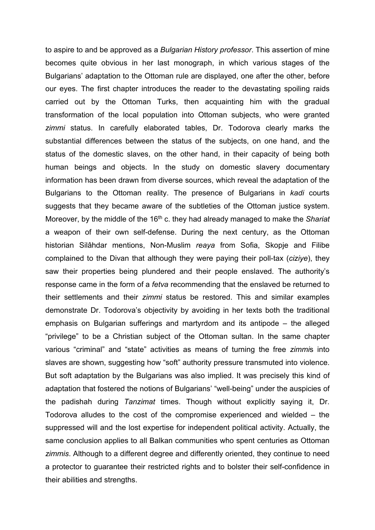to aspire to and be approved as a *Bulgarian History professor*. This assertion of mine becomes quite obvious in her last monograph, in which various stages of the Bulgarians' adaptation to the Ottoman rule are displayed, one after the other, before our eyes. The first chapter introduces the reader to the devastating spoiling raids carried out by the Ottoman Turks, then acquainting him with the gradual transformation of the local population into Ottoman subjects, who were granted *zimmi* status. In carefully elaborated tables, Dr. Todorova clearly marks the substantial differences between the status of the subjects, on one hand, and the status of the domestic slaves, on the other hand, in their capacity of being both human beings and objects. In the study on domestic slavery documentary information has been drawn from diverse sources, which reveal the adaptation of the Bulgarians to the Ottoman reality. The presence of Bulgarians in *kadi* courts suggests that they became aware of the subtleties of the Ottoman justice system. Moreover, by the middle of the 16<sup>th</sup> c. they had already managed to make the *Shariat* a weapon of their own self-defense. During the next century, as the Ottoman historian Silâhdar mentions, Non-Muslim *reaya* from Sofia, Skopje and Filibe complained to the Divan that although they were paying their poll-tax (*ciziye*), they saw their properties being plundered and their people enslaved. The authority's response came in the form of a *fetva* recommending that the enslaved be returned to their settlements and their *zimmi* status be restored. This and similar examples demonstrate Dr. Todorova's objectivity by avoiding in her texts both the traditional emphasis on Bulgarian sufferings and martyrdom and its antipodе – the alleged "privilege" to be a Christian subject of the Ottoman sultan. In the same chapter various "criminal" and "state" activities as means of turning the free *zimmi*s into slaves are shown, suggesting how "soft" authority pressure transmuted into violence. But soft adaptation by the Bulgarians was also implied. It was precisely this kind of adaptation that fostered the notions of Bulgarians' "well-being" under the auspicies of the padishah during *Tanzimat* times. Though without explicitly saying it, Dr. Todorova alludes to the cost of the compromise experienced and wielded – the suppressed will and the lost expertise for independent political activity. Actually, the same conclusion applies to all Balkan communities who spent centuries as Ottoman *zimmis*. Although to a different degree and differently oriented, they continue to need a protector to guarantee their restricted rights and to bolster their self-confidence in their abilities and strengths.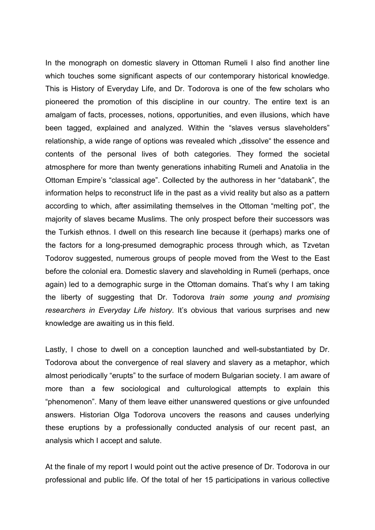In the monograph on domestic slavery in Ottoman Rumeli I also find another line which touches some significant aspects of our contemporary historical knowledge. This is History of Everyday Life, and Dr. Todorova is one of the few scholars who pioneered the promotion of this discipline in our country. The entire text is an amalgam of facts, processes, notions, opportunities, and even illusions, which have been tagged, explained and analyzed. Within the "slaves versus slaveholders" relationship, a wide range of options was revealed which "dissolve" the essence and contents of the personal lives of both categories. They formed the societal atmosphere for more than twenty generations inhabiting Rumeli and Anatolia in the Ottoman Empire's "classical age". Collected by the authoress in her "databank", the information helps to reconstruct life in the past as a vivid reality but also as a pattern according to which, after assimilating themselves in the Ottoman "melting pot", the majority of slaves became Muslims. The only prospect before their successors was the Turkish ethnos. I dwell on this research line because it (perhaps) marks one of the factors for a long-presumed demographic process through which, as Tzvetan Todorov suggested, numerous groups of people moved from the West to the East before the colonial era. Domestic slavery and slaveholding in Rumeli (perhaps, once again) led to a demographic surge in the Ottoman domains. That's why I am taking the liberty of suggesting that Dr. Todorova *train some young and promising researchers in Everyday Life history*. It's obvious that various surprises and new knowledge are awaiting us in this field.

Lastly, I chose to dwell on a conception launched and well-substantiated by Dr. Todorova about the convergence of real slavery and slavery as a metaphor, which almost periodically "erupts" to the surface of modern Bulgarian society. I am aware of more than a few sociological and culturological attempts to explain this "phenomenon". Many of them leave either unanswered questions or give unfounded answers. Historian Olga Todorova uncovers the reasons and causes underlying these eruptions by a professionally conducted analysis of our recent past, an analysis which I accept and salute.

At the finale of my report I would point out the active presence of Dr. Todorova in our professional and public life. Of the total of her 15 participations in various collective